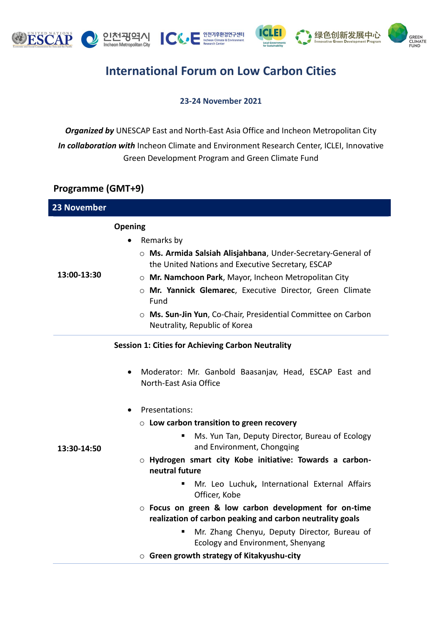









# **International Forum on Low Carbon Cities**

**23-24 November 2021**

*Organized by* UNESCAP East and North-East Asia Office and Incheon Metropolitan City *In collaboration with* Incheon Climate and Environment Research Center, ICLEI, Innovative Green Development Program and Green Climate Fund

## **Programme (GMT+9)**

| <b>23 November</b> |                                                                                                                                                                                                                                                                                                                                                                                                                                                                                                                                                                                                                                                                                                                                                |
|--------------------|------------------------------------------------------------------------------------------------------------------------------------------------------------------------------------------------------------------------------------------------------------------------------------------------------------------------------------------------------------------------------------------------------------------------------------------------------------------------------------------------------------------------------------------------------------------------------------------------------------------------------------------------------------------------------------------------------------------------------------------------|
| 13:00-13:30        | Opening<br>Remarks by<br>o Ms. Armida Salsiah Alisjahbana, Under-Secretary-General of<br>the United Nations and Executive Secretary, ESCAP<br>o Mr. Namchoon Park, Mayor, Incheon Metropolitan City<br>o Mr. Yannick Glemarec, Executive Director, Green Climate<br>Fund<br>o Ms. Sun-Jin Yun, Co-Chair, Presidential Committee on Carbon<br>Neutrality, Republic of Korea                                                                                                                                                                                                                                                                                                                                                                     |
| 13:30-14:50        | <b>Session 1: Cities for Achieving Carbon Neutrality</b><br>Moderator: Mr. Ganbold Baasanjav, Head, ESCAP East and<br>$\bullet$<br>North-East Asia Office<br>Presentations:<br>$\circ$ Low carbon transition to green recovery<br>Ms. Yun Tan, Deputy Director, Bureau of Ecology<br>Е<br>and Environment, Chongqing<br>o Hydrogen smart city Kobe initiative: Towards a carbon-<br>neutral future<br>Mr. Leo Luchuk, International External Affairs<br>٠<br>Officer, Kobe<br>o Focus on green & low carbon development for on-time<br>realization of carbon peaking and carbon neutrality goals<br>Mr. Zhang Chenyu, Deputy Director, Bureau of<br>П<br>Ecology and Environment, Shenyang<br>$\circ$ Green growth strategy of Kitakyushu-city |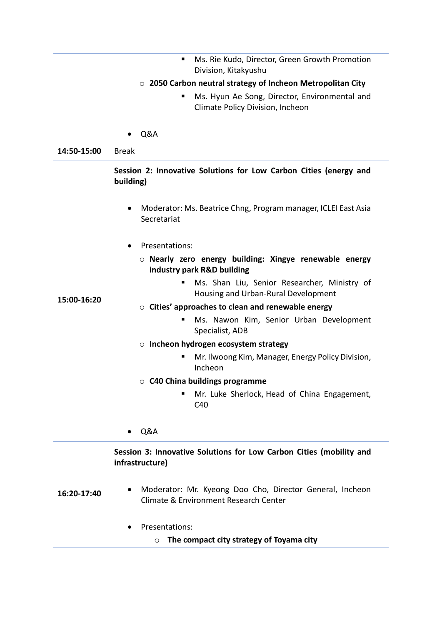■ Ms. Rie Kudo, Director, Green Growth Promotion Division, Kitakyushu

#### o **2050 Carbon neutral strategy of Incheon Metropolitan City**

- Ms. Hyun Ae Song, Director, Environmental and Climate Policy Division, Incheon
- Q&A

**14:50-15:00** Break

### **Session 2: Innovative Solutions for Low Carbon Cities (energy and building)**

- Moderator: Ms. Beatrice Chng, Program manager, ICLEI East Asia Secretariat
- Presentations:
	- o **Nearly zero energy building: Xingye renewable energy industry park R&D building**
		- Ms. Shan Liu, Senior Researcher, Ministry of Housing and Urban-Rural Development

**15:00-16:20** o **Cities' approaches to clean and renewable energy**

- Ms. Nawon Kim, Senior Urban Development Specialist, ADB
- o **Incheon hydrogen ecosystem strategy**
	- Mr. Ilwoong Kim, Manager, Energy Policy Division, Incheon
- o **C40 China buildings programme**
	- Mr. Luke Sherlock, Head of China Engagement,  $C<sub>40</sub>$

• Q&A

## **Session 3: Innovative Solutions for Low Carbon Cities (mobility and infrastructure)**

- **16:20-17:40** • Moderator: Mr. Kyeong Doo Cho, Director General, Incheon Climate & Environment Research Center
	- Presentations:
		- o **The compact city strategy of Toyama city**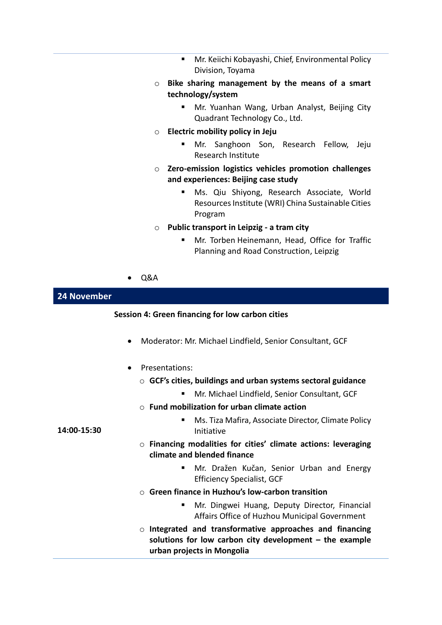- Mr. Keiichi Kobayashi, Chief, Environmental Policy Division, Toyama
- o **Bike sharing management by the means of a smart technology/system**
	- Mr. Yuanhan Wang, Urban Analyst, Beijing City Quadrant Technology Co., Ltd.
- o **Electric mobility policy in Jeju**
	- Mr. Sanghoon Son, Research Fellow, Jeju Research Institute
- o **Zero-emission logistics vehicles promotion challenges and experiences: Beijing case study**
	- Ms. Qiu Shiyong, Research Associate, World Resources Institute (WRI) China Sustainable Cities Program
- o **Public transport in Leipzig - a tram city**
	- Mr. Torben Heinemann, Head, Office for Traffic Planning and Road Construction, Leipzig
- Q&A

#### **24 November**

#### **Session 4: Green financing for low carbon cities**

- Moderator: Mr. Michael Lindfield, Senior Consultant, GCF
- Presentations:
	- o **GCF's cities, buildings and urban systems sectoral guidance**
		- Mr. Michael Lindfield, Senior Consultant, GCF
	- o **Fund mobilization for urban climate action**
		- Ms. Tiza Mafira, Associate Director, Climate Policy Initiative
	- o **Financing modalities for cities' climate actions: leveraging climate and blended finance**
		- **■** Mr. Dražen Kučan, Senior Urban and Energy Efficiency Specialist, GCF
	- o **Green finance in Huzhou's low-carbon transition**
		- **■** Mr. Dingwei Huang, Deputy Director, Financial Affairs Office of Huzhou Municipal Government
	- o **Integrated and transformative approaches and financing solutions for low carbon city development – the example urban projects in Mongolia**

**14:00-15:30**